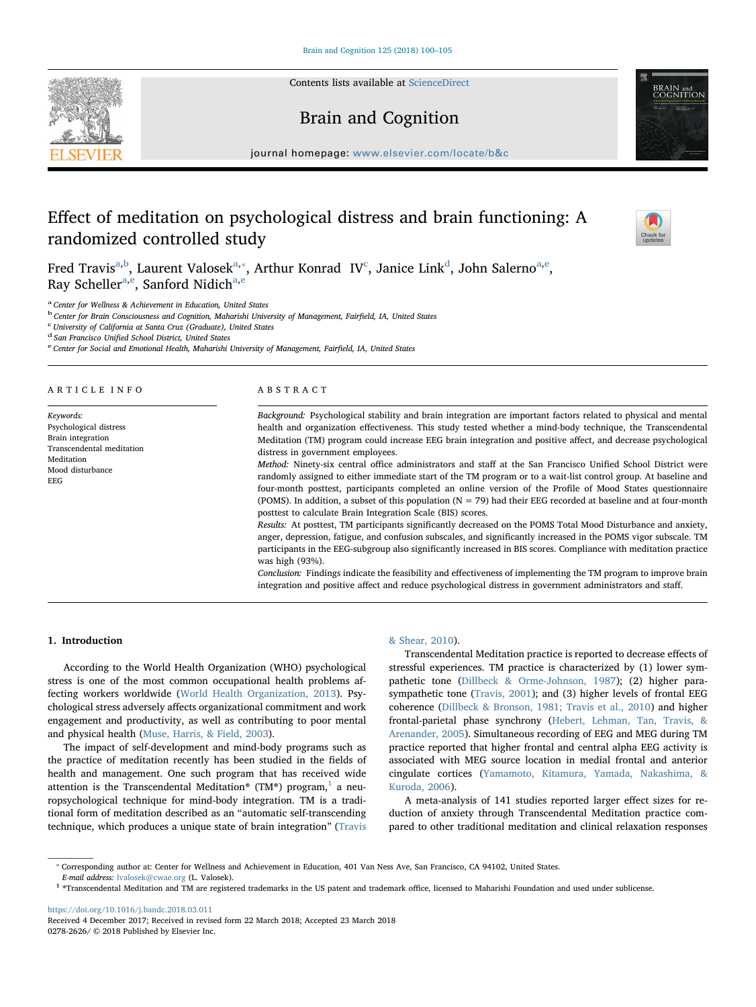Contents lists available at [ScienceDirect](http://www.sciencedirect.com/science/journal/02782626)

# Brain and Cognition

 $j$ ornal homepage: [www.elsevier.com/locate/b&c](https://www.elsevier.com/locate/b&c)atee/b&catee/b&catee/b&catee/b&catee/b&catee/b&catee/b&catee/b&catee/b&catee/b&catee/b&catee/b&catee/b&catee/b&catee/b&catee/b&catee/b&catee/b&catee/b&catee/b&catee/b&catee/b&

# Effect of meditation on psychological distress and brain functioning: A randomized controlled study

Fred Tr[a](#page-0-0)vis<sup>a[,b](#page-0-1)</sup>, Laurent Valosek<sup>[a,](#page-0-0)\*</sup>, Arthur Konrad IV<sup>[c](#page-0-3)</sup>, Janic[e](#page-0-5) Link<sup>d</sup>, John Salerno<sup>a,e</sup>, R[a](#page-0-0)y Scheller<sup>a[,e](#page-0-5)</sup>, Sanford Nidich<sup>a,[e](#page-0-5)</sup>

<span id="page-0-0"></span><sup>a</sup> Center for Wellness & Achievement in Education, United States

<span id="page-0-1"></span><sup>b</sup> Center for Brain Consciousness and Cognition, Maharishi University of Management, Fairfield, IA, United States

<span id="page-0-3"></span> $^{\rm c}$ University of California at Santa Cruz (Graduate), United States $^{\rm d}$  San Francisco Unified School District, United States

<span id="page-0-4"></span>

<span id="page-0-5"></span>e Center for Social and Emotional Health, Maharishi University of Management, Fairfield, IA, United States

#### ARTICLE INFO

Keywords: Psychological distress Brain integration Transcendental meditation Meditation Mood disturbance EEG

# ABSTRACT

Background: Psychological stability and brain integration are important factors related to physical and mental health and organization effectiveness. This study tested whether a mind-body technique, the Transcendental Meditation (TM) program could increase EEG brain integration and positive affect, and decrease psychological distress in government employees.

Method: Ninety-six central office administrators and staff at the San Francisco Unified School District were randomly assigned to either immediate start of the TM program or to a wait-list control group. At baseline and four-month posttest, participants completed an online version of the Profile of Mood States questionnaire (POMS). In addition, a subset of this population (N = 79) had their EEG recorded at baseline and at four-month posttest to calculate Brain Integration Scale (BIS) scores.

Results: At posttest, TM participants significantly decreased on the POMS Total Mood Disturbance and anxiety, anger, depression, fatigue, and confusion subscales, and significantly increased in the POMS vigor subscale. TM participants in the EEG-subgroup also significantly increased in BIS scores. Compliance with meditation practice was high (93%).

Conclusion: Findings indicate the feasibility and effectiveness of implementing the TM program to improve brain integration and positive affect and reduce psychological distress in government administrators and staff.

## 1. Introduction

According to the World Health Organization (WHO) psychological stress is one of the most common occupational health problems affecting workers worldwide [\(World Health Organization, 2013\)](#page-5-0). Psychological stress adversely affects organizational commitment and work engagement and productivity, as well as contributing to poor mental and physical health ([Muse, Harris, & Field, 2003\)](#page-5-1).

The impact of self-development and mind-body programs such as the practice of meditation recently has been studied in the fields of health and management. One such program that has received wide attention is the Transcendental Meditation® (TM®) program,<sup>[1](#page-0-6)</sup> a neuropsychological technique for mind-body integration. TM is a traditional form of meditation described as an "automatic self-transcending technique, which produces a unique state of brain integration" ([Travis](#page-5-2)

## [& Shear, 2010](#page-5-2)).

Transcendental Meditation practice is reported to decrease effects of stressful experiences. TM practice is characterized by (1) lower sympathetic tone ([Dillbeck & Orme-Johnson, 1987\)](#page-5-3); (2) higher parasympathetic tone ([Travis, 2001](#page-5-4)); and (3) higher levels of frontal EEG coherence [\(Dillbeck & Bronson, 1981; Travis et al., 2010\)](#page-5-5) and higher frontal-parietal phase synchrony [\(Hebert, Lehman, Tan, Travis, &](#page-5-6) [Arenander, 2005](#page-5-6)). Simultaneous recording of EEG and MEG during TM practice reported that higher frontal and central alpha EEG activity is associated with MEG source location in medial frontal and anterior cingulate cortices [\(Yamamoto, Kitamura, Yamada, Nakashima, &](#page-5-7) [Kuroda, 2006](#page-5-7)).

A meta-analysis of 141 studies reported larger effect sizes for reduction of anxiety through Transcendental Meditation practice compared to other traditional meditation and clinical relaxation responses

<https://doi.org/10.1016/j.bandc.2018.03.011> Received 4 December 2017; Received in revised form 22 March 2018; Accepted 23 March 2018 0278-2626/ © 2018 Published by Elsevier Inc.







<span id="page-0-2"></span><sup>⁎</sup> Corresponding author at: Center for Wellness and Achievement in Education, 401 Van Ness Ave, San Francisco, CA 94102, United States.

<span id="page-0-6"></span>E-mail address: [lvalosek@cwae.org](mailto:lvalosek@cwae.org) (L. Valosek). 1 ®Transcendental Meditation and trademark office, licensed to Maharishi Foundation and used under sublicense.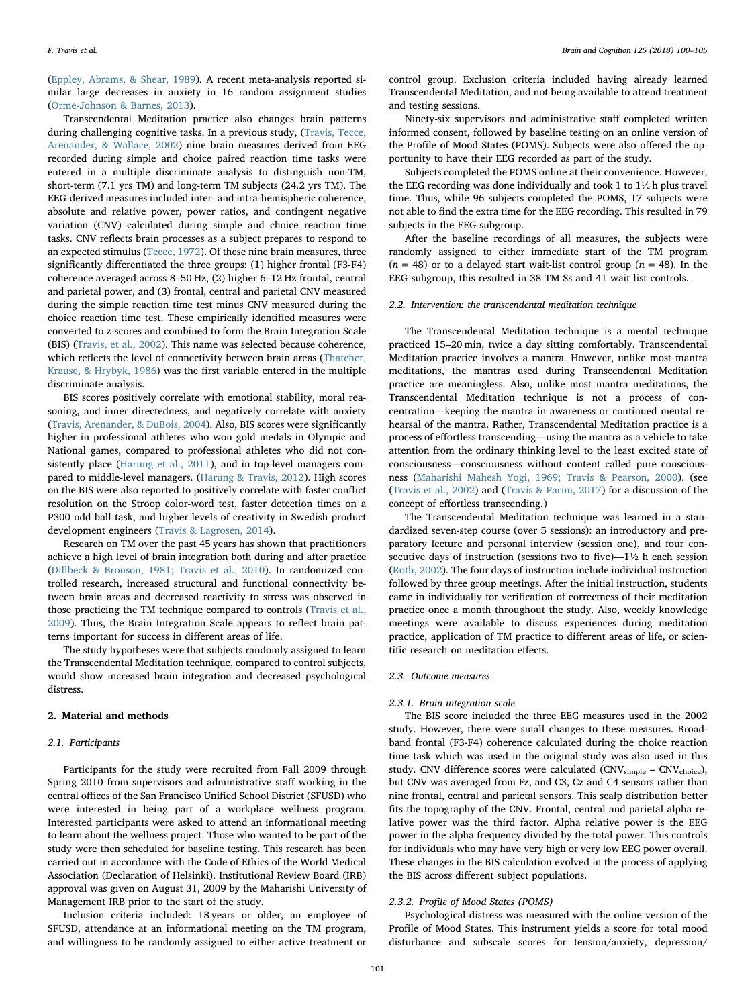([Eppley, Abrams, & Shear, 1989](#page-5-8)). A recent meta-analysis reported similar large decreases in anxiety in 16 random assignment studies ([Orme-Johnson & Barnes, 2013](#page-5-9)).

Transcendental Meditation practice also changes brain patterns during challenging cognitive tasks. In a previous study, ([Travis, Tecce,](#page-5-10) [Arenander, & Wallace, 2002\)](#page-5-10) nine brain measures derived from EEG recorded during simple and choice paired reaction time tasks were entered in a multiple discriminate analysis to distinguish non-TM, short-term (7.1 yrs TM) and long-term TM subjects (24.2 yrs TM). The EEG-derived measures included inter- and intra-hemispheric coherence, absolute and relative power, power ratios, and contingent negative variation (CNV) calculated during simple and choice reaction time tasks. CNV reflects brain processes as a subject prepares to respond to an expected stimulus ([Tecce, 1972](#page-5-11)). Of these nine brain measures, three significantly differentiated the three groups: (1) higher frontal (F3-F4) coherence averaged across 8–50 Hz, (2) higher 6–12 Hz frontal, central and parietal power, and (3) frontal, central and parietal CNV measured during the simple reaction time test minus CNV measured during the choice reaction time test. These empirically identified measures were converted to z-scores and combined to form the Brain Integration Scale (BIS) ([Travis, et al., 2002](#page-5-10)). This name was selected because coherence, which reflects the level of connectivity between brain areas ([Thatcher,](#page-5-12) [Krause, & Hrybyk, 1986](#page-5-12)) was the first variable entered in the multiple discriminate analysis.

BIS scores positively correlate with emotional stability, moral reasoning, and inner directedness, and negatively correlate with anxiety ([Travis, Arenander, & DuBois, 2004](#page-5-13)). Also, BIS scores were significantly higher in professional athletes who won gold medals in Olympic and National games, compared to professional athletes who did not consistently place ([Harung et al., 2011\)](#page-5-14), and in top-level managers compared to middle-level managers. ([Harung & Travis, 2012\)](#page-5-15). High scores on the BIS were also reported to positively correlate with faster conflict resolution on the Stroop color-word test, faster detection times on a P300 odd ball task, and higher levels of creativity in Swedish product development engineers [\(Travis & Lagrosen, 2014](#page-5-16)).

Research on TM over the past 45 years has shown that practitioners achieve a high level of brain integration both during and after practice ([Dillbeck & Bronson, 1981; Travis et al., 2010\)](#page-5-5). In randomized controlled research, increased structural and functional connectivity between brain areas and decreased reactivity to stress was observed in those practicing the TM technique compared to controls ([Travis et al.,](#page-5-17) [2009\)](#page-5-17). Thus, the Brain Integration Scale appears to reflect brain patterns important for success in different areas of life.

The study hypotheses were that subjects randomly assigned to learn the Transcendental Meditation technique, compared to control subjects, would show increased brain integration and decreased psychological distress.

#### 2. Material and methods

#### 2.1. Participants

Participants for the study were recruited from Fall 2009 through Spring 2010 from supervisors and administrative staff working in the central offices of the San Francisco Unified School District (SFUSD) who were interested in being part of a workplace wellness program. Interested participants were asked to attend an informational meeting to learn about the wellness project. Those who wanted to be part of the study were then scheduled for baseline testing. This research has been carried out in accordance with the Code of Ethics of the World Medical Association (Declaration of Helsinki). Institutional Review Board (IRB) approval was given on August 31, 2009 by the Maharishi University of Management IRB prior to the start of the study.

Inclusion criteria included: 18 years or older, an employee of SFUSD, attendance at an informational meeting on the TM program, and willingness to be randomly assigned to either active treatment or

control group. Exclusion criteria included having already learned Transcendental Meditation, and not being available to attend treatment and testing sessions.

Ninety-six supervisors and administrative staff completed written informed consent, followed by baseline testing on an online version of the Profile of Mood States (POMS). Subjects were also offered the opportunity to have their EEG recorded as part of the study.

Subjects completed the POMS online at their convenience. However, the EEG recording was done individually and took 1 to 1½ h plus travel time. Thus, while 96 subjects completed the POMS, 17 subjects were not able to find the extra time for the EEG recording. This resulted in 79 subjects in the EEG-subgroup.

After the baseline recordings of all measures, the subjects were randomly assigned to either immediate start of the TM program  $(n = 48)$  or to a delayed start wait-list control group  $(n = 48)$ . In the EEG subgroup, this resulted in 38 TM Ss and 41 wait list controls.

## 2.2. Intervention: the transcendental meditation technique

The Transcendental Meditation technique is a mental technique practiced 15–20 min, twice a day sitting comfortably. Transcendental Meditation practice involves a mantra. However, unlike most mantra meditations, the mantras used during Transcendental Meditation practice are meaningless. Also, unlike most mantra meditations, the Transcendental Meditation technique is not a process of concentration—keeping the mantra in awareness or continued mental rehearsal of the mantra. Rather, Transcendental Meditation practice is a process of effortless transcending—using the mantra as a vehicle to take attention from the ordinary thinking level to the least excited state of consciousness—consciousness without content called pure consciousness ([Maharishi Mahesh Yogi, 1969; Travis & Pearson, 2000](#page-5-18)). (see ([Travis et al., 2002](#page-5-10)) and [\(Travis & Parim, 2017](#page-5-19)) for a discussion of the concept of effortless transcending.)

The Transcendental Meditation technique was learned in a standardized seven-step course (over 5 sessions): an introductory and preparatory lecture and personal interview (session one), and four consecutive days of instruction (sessions two to five)—1½ h each session ([Roth, 2002](#page-5-20)). The four days of instruction include individual instruction followed by three group meetings. After the initial instruction, students came in individually for verification of correctness of their meditation practice once a month throughout the study. Also, weekly knowledge meetings were available to discuss experiences during meditation practice, application of TM practice to different areas of life, or scientific research on meditation effects.

#### 2.3. Outcome measures

#### 2.3.1. Brain integration scale

The BIS score included the three EEG measures used in the 2002 study. However, there were small changes to these measures. Broadband frontal (F3-F4) coherence calculated during the choice reaction time task which was used in the original study was also used in this study. CNV difference scores were calculated (CNV<sub>simple</sub> - CNV<sub>choice</sub>), but CNV was averaged from Fz, and C3, Cz and C4 sensors rather than nine frontal, central and parietal sensors. This scalp distribution better fits the topography of the CNV. Frontal, central and parietal alpha relative power was the third factor. Alpha relative power is the EEG power in the alpha frequency divided by the total power. This controls for individuals who may have very high or very low EEG power overall. These changes in the BIS calculation evolved in the process of applying the BIS across different subject populations.

#### 2.3.2. Profile of Mood States (POMS)

Psychological distress was measured with the online version of the Profile of Mood States. This instrument yields a score for total mood disturbance and subscale scores for tension/anxiety, depression/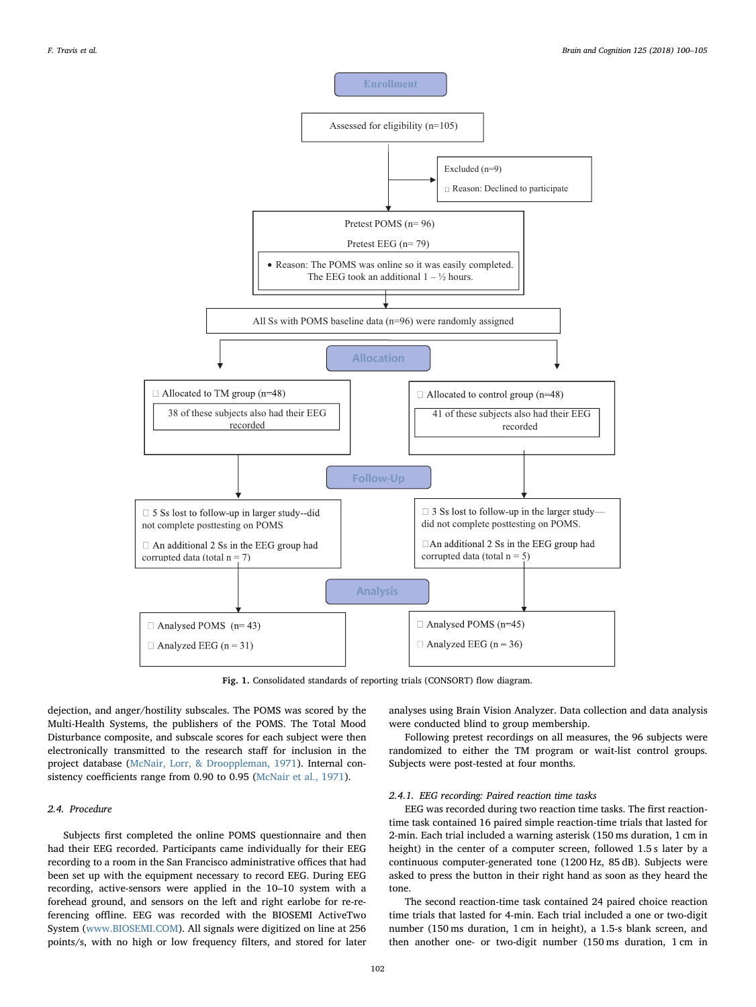<span id="page-2-0"></span>

Fig. 1. Consolidated standards of reporting trials (CONSORT) flow diagram.

dejection, and anger/hostility subscales. The POMS was scored by the Multi-Health Systems, the publishers of the POMS. The Total Mood Disturbance composite, and subscale scores for each subject were then electronically transmitted to the research staff for inclusion in the project database [\(McNair, Lorr, & Drooppleman, 1971](#page-5-21)). Internal consistency coefficients range from 0.90 to 0.95 [\(McNair et al., 1971\)](#page-5-21).

## 2.4. Procedure

Subjects first completed the online POMS questionnaire and then had their EEG recorded. Participants came individually for their EEG recording to a room in the San Francisco administrative offices that had been set up with the equipment necessary to record EEG. During EEG recording, active-sensors were applied in the 10–10 system with a forehead ground, and sensors on the left and right earlobe for re-referencing offline. EEG was recorded with the BIOSEMI ActiveTwo System ([www.BIOSEMI.COM\)](http://www.BIOSEMI.COM). All signals were digitized on line at 256 points/s, with no high or low frequency filters, and stored for later

analyses using Brain Vision Analyzer. Data collection and data analysis were conducted blind to group membership.

Following pretest recordings on all measures, the 96 subjects were randomized to either the TM program or wait-list control groups. Subjects were post-tested at four months.

## 2.4.1. EEG recording: Paired reaction time tasks

EEG was recorded during two reaction time tasks. The first reactiontime task contained 16 paired simple reaction-time trials that lasted for 2-min. Each trial included a warning asterisk (150 ms duration, 1 cm in height) in the center of a computer screen, followed 1.5 s later by a continuous computer-generated tone (1200 Hz, 85 dB). Subjects were asked to press the button in their right hand as soon as they heard the tone.

The second reaction-time task contained 24 paired choice reaction time trials that lasted for 4-min. Each trial included a one or two-digit number (150 ms duration, 1 cm in height), a 1.5-s blank screen, and then another one- or two-digit number (150 ms duration, 1 cm in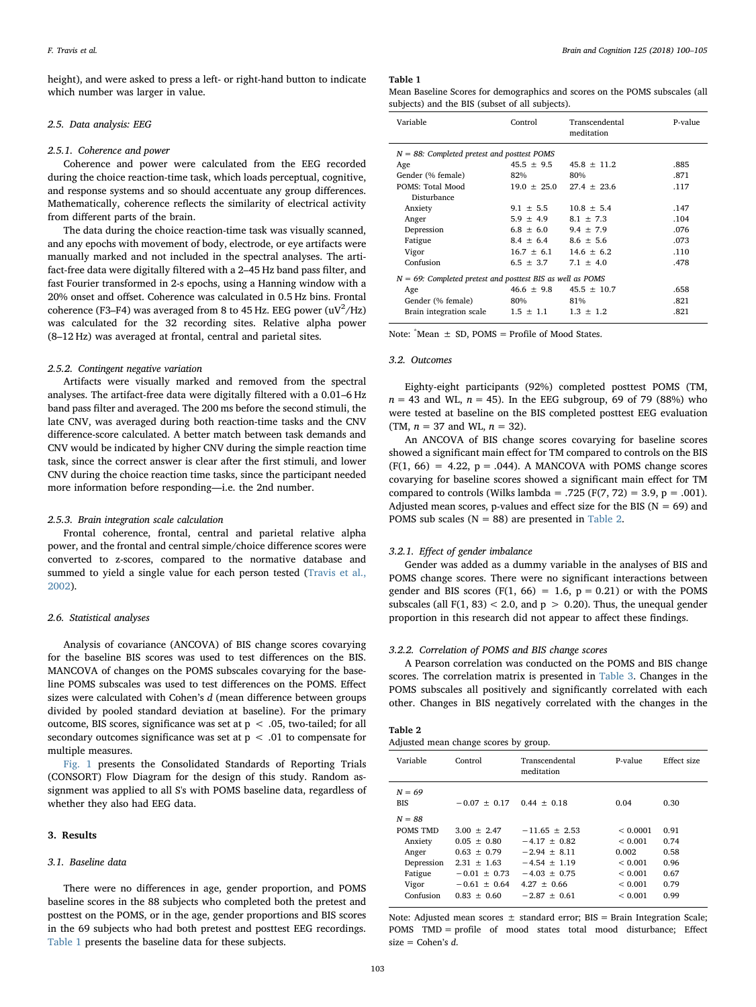height), and were asked to press a left- or right-hand button to indicate which number was larger in value.

# 2.5. Data analysis: EEG

## 2.5.1. Coherence and power

Coherence and power were calculated from the EEG recorded during the choice reaction-time task, which loads perceptual, cognitive, and response systems and so should accentuate any group differences. Mathematically, coherence reflects the similarity of electrical activity from different parts of the brain.

The data during the choice reaction-time task was visually scanned, and any epochs with movement of body, electrode, or eye artifacts were manually marked and not included in the spectral analyses. The artifact-free data were digitally filtered with a 2–45 Hz band pass filter, and fast Fourier transformed in 2-s epochs, using a Hanning window with a 20% onset and offset. Coherence was calculated in 0.5 Hz bins. Frontal coherence (F3–F4) was averaged from 8 to 45 Hz. EEG power  $(uV^2/Hz)$ was calculated for the 32 recording sites. Relative alpha power (8–12 Hz) was averaged at frontal, central and parietal sites.

#### 2.5.2. Contingent negative variation

Artifacts were visually marked and removed from the spectral analyses. The artifact-free data were digitally filtered with a 0.01–6 Hz band pass filter and averaged. The 200 ms before the second stimuli, the late CNV, was averaged during both reaction-time tasks and the CNV difference-score calculated. A better match between task demands and CNV would be indicated by higher CNV during the simple reaction time task, since the correct answer is clear after the first stimuli, and lower CNV during the choice reaction time tasks, since the participant needed more information before responding—i.e. the 2nd number.

## 2.5.3. Brain integration scale calculation

Frontal coherence, frontal, central and parietal relative alpha power, and the frontal and central simple/choice difference scores were converted to z-scores, compared to the normative database and summed to yield a single value for each person tested ([Travis et al.,](#page-5-10) [2002\)](#page-5-10).

## 2.6. Statistical analyses

Analysis of covariance (ANCOVA) of BIS change scores covarying for the baseline BIS scores was used to test differences on the BIS. MANCOVA of changes on the POMS subscales covarying for the baseline POMS subscales was used to test differences on the POMS. Effect sizes were calculated with Cohen's d (mean difference between groups divided by pooled standard deviation at baseline). For the primary outcome, BIS scores, significance was set at  $p < .05$ , two-tailed; for all secondary outcomes significance was set at  $p < .01$  to compensate for multiple measures.

[Fig. 1](#page-2-0) presents the Consolidated Standards of Reporting Trials (CONSORT) Flow Diagram for the design of this study. Random assignment was applied to all S's with POMS baseline data, regardless of whether they also had EEG data.

## 3. Results

#### 3.1. Baseline data

There were no differences in age, gender proportion, and POMS baseline scores in the 88 subjects who completed both the pretest and posttest on the POMS, or in the age, gender proportions and BIS scores in the 69 subjects who had both pretest and posttest EEG recordings. [Table 1](#page-3-0) presents the baseline data for these subjects.

### <span id="page-3-0"></span>Table 1

Mean Baseline Scores for demographics and scores on the POMS subscales (all subjects) and the BIS (subset of all subjects).

| Variable                                                      | Control        | Transcendental<br>meditation | P-value |  |  |  |
|---------------------------------------------------------------|----------------|------------------------------|---------|--|--|--|
| $N = 88$ : Completed pretest and posttest POMS                |                |                              |         |  |  |  |
| Age                                                           | $45.5 \pm 9.5$ | $45.8 \pm 11.2$              | .885    |  |  |  |
| Gender (% female)                                             | 82%            | 80%                          | .871    |  |  |  |
| POMS: Total Mood                                              | $19.0 + 25.0$  | $27.4 + 23.6$                | .117    |  |  |  |
| Disturbance                                                   |                |                              |         |  |  |  |
| Anxiety                                                       | $9.1 \pm 5.5$  | $10.8 \pm 5.4$               | .147    |  |  |  |
| Anger                                                         | $5.9 \pm 4.9$  | $8.1 + 7.3$                  | .104    |  |  |  |
| Depression                                                    | $6.8 \pm 6.0$  | $9.4 \pm 7.9$                | .076    |  |  |  |
| Fatigue                                                       | $8.4 \pm 6.4$  | $8.6 \pm 5.6$                | .073    |  |  |  |
| Vigor                                                         | $16.7 \pm 6.1$ | $14.6 \pm 6.2$               | .110    |  |  |  |
| Confusion                                                     | $6.5 \pm 3.7$  | $7.1 \pm 4.0$                | .478    |  |  |  |
| $N = 69$ : Completed pretest and posttest BIS as well as POMS |                |                              |         |  |  |  |
| Age                                                           | $46.6 + 9.8$   | $45.5 \pm 10.7$              | .658    |  |  |  |
| Gender (% female)                                             | 80%            | 81%                          | .821    |  |  |  |
| Brain integration scale                                       | $1.5 \pm 1.1$  | $1.3 \pm 1.2$                | .821    |  |  |  |

Note:  $*$ Mean  $\pm$  SD, POMS = Profile of Mood States.

## 3.2. Outcomes

Eighty-eight participants (92%) completed posttest POMS (TM,  $n = 43$  and WL,  $n = 45$ ). In the EEG subgroup, 69 of 79 (88%) who were tested at baseline on the BIS completed posttest EEG evaluation (TM,  $n = 37$  and WL,  $n = 32$ ).

An ANCOVA of BIS change scores covarying for baseline scores showed a significant main effect for TM compared to controls on the BIS  $(F(1, 66) = 4.22, p = .044)$ . A MANCOVA with POMS change scores covarying for baseline scores showed a significant main effect for TM compared to controls (Wilks lambda = .725 (F(7, 72) = 3.9, p = .001). Adjusted mean scores, p-values and effect size for the BIS ( $N = 69$ ) and POMS sub scales ( $N = 88$ ) are presented in [Table 2.](#page-3-1)

## 3.2.1. Effect of gender imbalance

Gender was added as a dummy variable in the analyses of BIS and POMS change scores. There were no significant interactions between gender and BIS scores (F(1, 66) = 1.6,  $p = 0.21$ ) or with the POMS subscales (all  $F(1, 83) < 2.0$ , and  $p > 0.20$ ). Thus, the unequal gender proportion in this research did not appear to affect these findings.

## 3.2.2. Correlation of POMS and BIS change scores

A Pearson correlation was conducted on the POMS and BIS change scores. The correlation matrix is presented in [Table 3](#page-4-0). Changes in the POMS subscales all positively and significantly correlated with each other. Changes in BIS negatively correlated with the changes in the

<span id="page-3-1"></span>

| Table |  |  |
|-------|--|--|
|-------|--|--|

| Adjusted mean change scores by group. |  |  |  |  |
|---------------------------------------|--|--|--|--|
|---------------------------------------|--|--|--|--|

| Variable                                                                   | Control                                                                                                  | Transcendental<br>meditation                                                                                 | P-value                                                                           | Effect size                                  |
|----------------------------------------------------------------------------|----------------------------------------------------------------------------------------------------------|--------------------------------------------------------------------------------------------------------------|-----------------------------------------------------------------------------------|----------------------------------------------|
| $N = 69$<br><b>BIS</b>                                                     | $-0.07 + 0.17$                                                                                           | $0.44 + 0.18$                                                                                                | 0.04                                                                              | 0.30                                         |
| $N = 88$<br>POMS TMD<br>Anxiety<br>Anger<br>Depression<br>Fatigue<br>Vigor | $3.00 + 2.47$<br>$0.05 \pm 0.80$<br>$0.63 + 0.79$<br>$2.31 + 1.63$<br>$-0.01 \pm 0.73$<br>$-0.61 + 0.64$ | $-11.65 + 2.53$<br>$-4.17 \pm 0.82$<br>$-2.94 + 8.11$<br>$-4.54 \pm 1.19$<br>$-4.03 + 0.75$<br>$4.27 + 0.66$ | < 0.0001<br>${}_{0.001}$<br>0.002<br>${}_{0.001}$<br>${}_{0.001}$<br>${}_{0.001}$ | 0.91<br>0.74<br>0.58<br>0.96<br>0.67<br>0.79 |

Note: Adjusted mean scores  $\pm$  standard error; BIS = Brain Integration Scale; POMS TMD = profile of mood states total mood disturbance; Effect size = Cohen's  $d$ .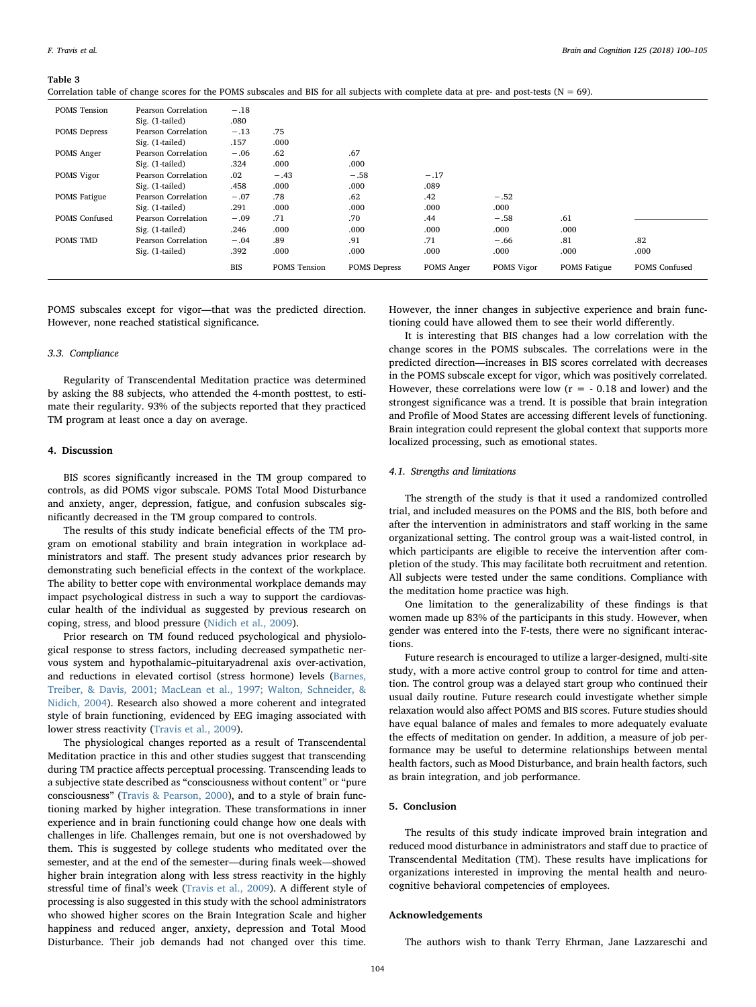#### <span id="page-4-0"></span>Table 3

|                      |                     | <b>BIS</b> | POMS Tension | <b>POMS</b> Depress | POMS Anger | POMS Vigor | <b>POMS</b> Fatigue | <b>POMS</b> Confused |
|----------------------|---------------------|------------|--------------|---------------------|------------|------------|---------------------|----------------------|
|                      | Sig. (1-tailed)     | .392       | .000         | .000                | .000       | .000       | .000                | .000                 |
| POMS TMD             | Pearson Correlation | $-.04$     | .89          | .91                 | .71        | $-.66$     | .81                 | .82                  |
|                      | Sig. (1-tailed)     | .246       | .000         | .000                | .000       | .000       | .000                |                      |
| <b>POMS</b> Confused | Pearson Correlation | $-.09$     | .71          | .70                 | .44        | $-.58$     | .61                 |                      |
|                      | Sig. (1-tailed)     | .291       | .000         | .000                | .000       | .000       |                     |                      |
| <b>POMS</b> Fatigue  | Pearson Correlation | $-.07$     | .78          | .62                 | .42        | $-.52$     |                     |                      |
|                      | Sig. (1-tailed)     | .458       | .000         | .000                | .089       |            |                     |                      |
| POMS Vigor           | Pearson Correlation | .02        | $-.43$       | $-.58$              | $-.17$     |            |                     |                      |
|                      | Sig. (1-tailed)     | .324       | .000         | .000                |            |            |                     |                      |
| POMS Anger           | Pearson Correlation | $-.06$     | .62          | .67                 |            |            |                     |                      |
|                      | Sig. (1-tailed)     | .157       | .000         |                     |            |            |                     |                      |
| <b>POMS</b> Depress  | Pearson Correlation | $-.13$     | .75          |                     |            |            |                     |                      |
|                      | Sig. (1-tailed)     | .080       |              |                     |            |            |                     |                      |
| <b>POMS</b> Tension  | Pearson Correlation | $-.18$     |              |                     |            |            |                     |                      |

Correlation table of change scores for the POMS subscales and BIS for all subjects with complete data at pre- and post-tests ( $N = 69$ ).

POMS subscales except for vigor—that was the predicted direction. However, none reached statistical significance.

#### 3.3. Compliance

Regularity of Transcendental Meditation practice was determined by asking the 88 subjects, who attended the 4-month posttest, to estimate their regularity. 93% of the subjects reported that they practiced TM program at least once a day on average.

## 4. Discussion

BIS scores significantly increased in the TM group compared to controls, as did POMS vigor subscale. POMS Total Mood Disturbance and anxiety, anger, depression, fatigue, and confusion subscales significantly decreased in the TM group compared to controls.

The results of this study indicate beneficial effects of the TM program on emotional stability and brain integration in workplace administrators and staff. The present study advances prior research by demonstrating such beneficial effects in the context of the workplace. The ability to better cope with environmental workplace demands may impact psychological distress in such a way to support the cardiovascular health of the individual as suggested by previous research on coping, stress, and blood pressure ([Nidich et al., 2009](#page-5-22)).

Prior research on TM found reduced psychological and physiological response to stress factors, including decreased sympathetic nervous system and hypothalamic–pituitaryadrenal axis over-activation, and reductions in elevated cortisol (stress hormone) levels ([Barnes,](#page-5-23) [Treiber, & Davis, 2001; MacLean et al., 1997; Walton, Schneider, &](#page-5-23) [Nidich, 2004](#page-5-23)). Research also showed a more coherent and integrated style of brain functioning, evidenced by EEG imaging associated with lower stress reactivity [\(Travis et al., 2009](#page-5-17)).

The physiological changes reported as a result of Transcendental Meditation practice in this and other studies suggest that transcending during TM practice affects perceptual processing. Transcending leads to a subjective state described as "consciousness without content" or "pure consciousness" ([Travis & Pearson, 2000\)](#page-5-24), and to a style of brain functioning marked by higher integration. These transformations in inner experience and in brain functioning could change how one deals with challenges in life. Challenges remain, but one is not overshadowed by them. This is suggested by college students who meditated over the semester, and at the end of the semester—during finals week—showed higher brain integration along with less stress reactivity in the highly stressful time of final's week [\(Travis et al., 2009\)](#page-5-17). A different style of processing is also suggested in this study with the school administrators who showed higher scores on the Brain Integration Scale and higher happiness and reduced anger, anxiety, depression and Total Mood Disturbance. Their job demands had not changed over this time.

However, the inner changes in subjective experience and brain functioning could have allowed them to see their world differently.

It is interesting that BIS changes had a low correlation with the change scores in the POMS subscales. The correlations were in the predicted direction—increases in BIS scores correlated with decreases in the POMS subscale except for vigor, which was positively correlated. However, these correlations were low  $(r = -0.18$  and lower) and the strongest significance was a trend. It is possible that brain integration and Profile of Mood States are accessing different levels of functioning. Brain integration could represent the global context that supports more localized processing, such as emotional states.

#### 4.1. Strengths and limitations

The strength of the study is that it used a randomized controlled trial, and included measures on the POMS and the BIS, both before and after the intervention in administrators and staff working in the same organizational setting. The control group was a wait-listed control, in which participants are eligible to receive the intervention after completion of the study. This may facilitate both recruitment and retention. All subjects were tested under the same conditions. Compliance with the meditation home practice was high.

One limitation to the generalizability of these findings is that women made up 83% of the participants in this study. However, when gender was entered into the F-tests, there were no significant interactions.

Future research is encouraged to utilize a larger-designed, multi-site study, with a more active control group to control for time and attention. The control group was a delayed start group who continued their usual daily routine. Future research could investigate whether simple relaxation would also affect POMS and BIS scores. Future studies should have equal balance of males and females to more adequately evaluate the effects of meditation on gender. In addition, a measure of job performance may be useful to determine relationships between mental health factors, such as Mood Disturbance, and brain health factors, such as brain integration, and job performance.

# 5. Conclusion

The results of this study indicate improved brain integration and reduced mood disturbance in administrators and staff due to practice of Transcendental Meditation (TM). These results have implications for organizations interested in improving the mental health and neurocognitive behavioral competencies of employees.

#### Acknowledgements

The authors wish to thank Terry Ehrman, Jane Lazzareschi and